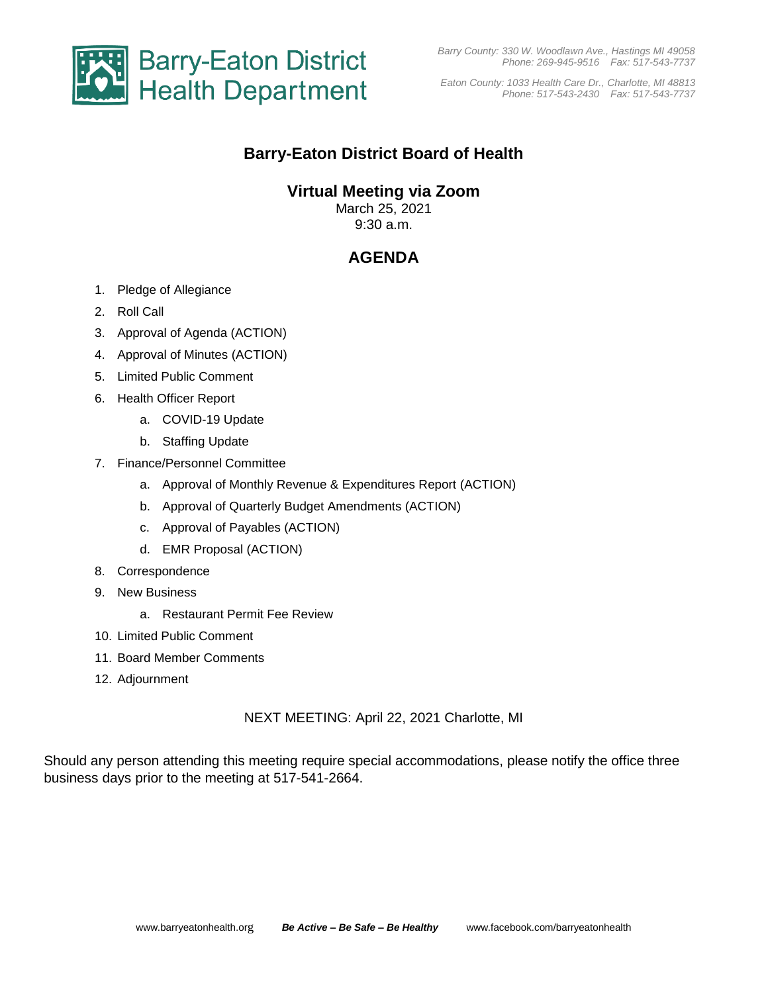

*Eaton County: 1033 Health Care Dr., Charlotte, MI 48813 Phone: 517-543-2430 Fax: 517-543-7737*

## **Barry-Eaton District Board of Health**

### **Virtual Meeting via Zoom**

March 25, 2021 9:30 a.m.

# **AGENDA**

- 1. Pledge of Allegiance
- 2. Roll Call
- 3. Approval of Agenda (ACTION)
- 4. Approval of Minutes (ACTION)
- 5. Limited Public Comment
- 6. Health Officer Report
	- a. COVID-19 Update
	- b. Staffing Update
- 7. Finance/Personnel Committee
	- a. Approval of Monthly Revenue & Expenditures Report (ACTION)
	- b. Approval of Quarterly Budget Amendments (ACTION)
	- c. Approval of Payables (ACTION)
	- d. EMR Proposal (ACTION)
- 8. Correspondence
- 9. New Business
	- a. Restaurant Permit Fee Review
- 10. Limited Public Comment
- 11. Board Member Comments
- 12. Adjournment

NEXT MEETING: April 22, 2021 Charlotte, MI

Should any person attending this meeting require special accommodations, please notify the office three business days prior to the meeting at 517-541-2664.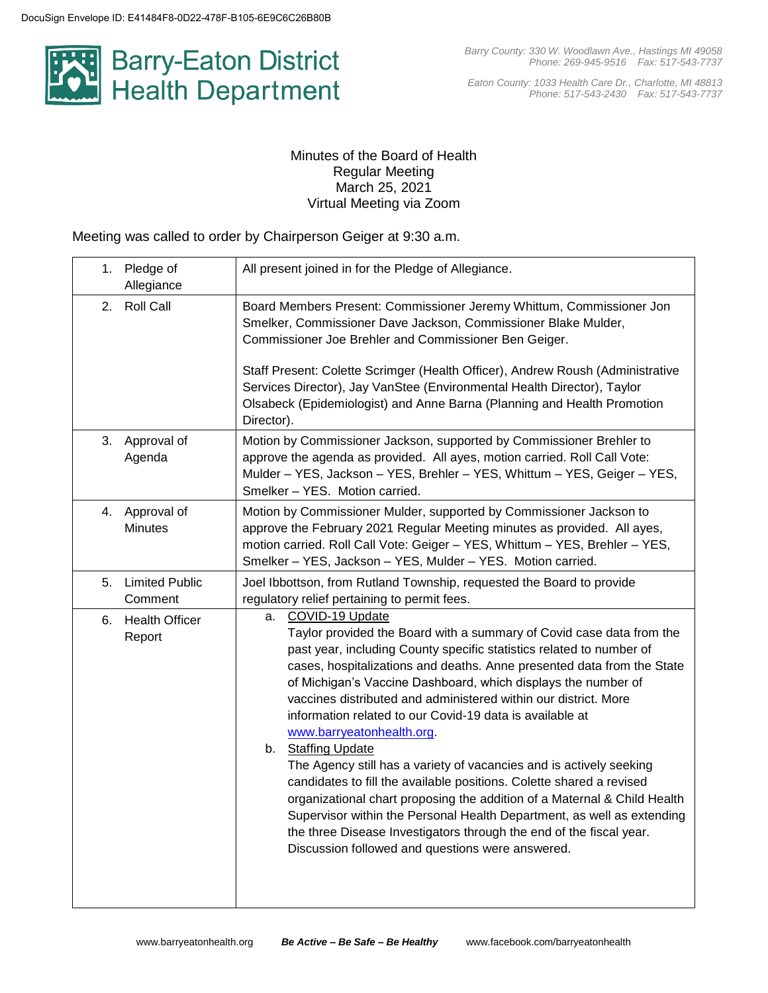

*Eaton County: 1033 Health Care Dr., Charlotte, MI 48813 Phone: 517-543-2430 Fax: 517-543-7737*

### Minutes of the Board of Health Regular Meeting March 25, 2021 Virtual Meeting via Zoom

Meeting was called to order by Chairperson Geiger at 9:30 a.m.

| 1. Pledge of<br>Allegiance          |                       | All present joined in for the Pledge of Allegiance.                                                                                                                                                                                                                                                                                                                                                                                                                                                                                                                                                                                                                                                                                                                                                                                                                                                                                |
|-------------------------------------|-----------------------|------------------------------------------------------------------------------------------------------------------------------------------------------------------------------------------------------------------------------------------------------------------------------------------------------------------------------------------------------------------------------------------------------------------------------------------------------------------------------------------------------------------------------------------------------------------------------------------------------------------------------------------------------------------------------------------------------------------------------------------------------------------------------------------------------------------------------------------------------------------------------------------------------------------------------------|
| <b>Roll Call</b><br>2.              |                       | Board Members Present: Commissioner Jeremy Whittum, Commissioner Jon<br>Smelker, Commissioner Dave Jackson, Commissioner Blake Mulder,<br>Commissioner Joe Brehler and Commissioner Ben Geiger.<br>Staff Present: Colette Scrimger (Health Officer), Andrew Roush (Administrative<br>Services Director), Jay VanStee (Environmental Health Director), Taylor<br>Olsabeck (Epidemiologist) and Anne Barna (Planning and Health Promotion<br>Director).                                                                                                                                                                                                                                                                                                                                                                                                                                                                              |
| Approval of<br>3.<br>Agenda         |                       | Motion by Commissioner Jackson, supported by Commissioner Brehler to<br>approve the agenda as provided. All ayes, motion carried. Roll Call Vote:<br>Mulder - YES, Jackson - YES, Brehler - YES, Whittum - YES, Geiger - YES,<br>Smelker - YES. Motion carried.                                                                                                                                                                                                                                                                                                                                                                                                                                                                                                                                                                                                                                                                    |
| Approval of<br>4.<br><b>Minutes</b> |                       | Motion by Commissioner Mulder, supported by Commissioner Jackson to<br>approve the February 2021 Regular Meeting minutes as provided. All ayes,<br>motion carried. Roll Call Vote: Geiger - YES, Whittum - YES, Brehler - YES,<br>Smelker - YES, Jackson - YES, Mulder - YES. Motion carried.                                                                                                                                                                                                                                                                                                                                                                                                                                                                                                                                                                                                                                      |
| 5.<br>Comment                       | <b>Limited Public</b> | Joel Ibbottson, from Rutland Township, requested the Board to provide<br>regulatory relief pertaining to permit fees.                                                                                                                                                                                                                                                                                                                                                                                                                                                                                                                                                                                                                                                                                                                                                                                                              |
| 6.<br>Report                        | <b>Health Officer</b> | COVID-19 Update<br>а.<br>Taylor provided the Board with a summary of Covid case data from the<br>past year, including County specific statistics related to number of<br>cases, hospitalizations and deaths. Anne presented data from the State<br>of Michigan's Vaccine Dashboard, which displays the number of<br>vaccines distributed and administered within our district. More<br>information related to our Covid-19 data is available at<br>www.barryeatonhealth.org.<br>b. Staffing Update<br>The Agency still has a variety of vacancies and is actively seeking<br>candidates to fill the available positions. Colette shared a revised<br>organizational chart proposing the addition of a Maternal & Child Health<br>Supervisor within the Personal Health Department, as well as extending<br>the three Disease Investigators through the end of the fiscal year.<br>Discussion followed and questions were answered. |